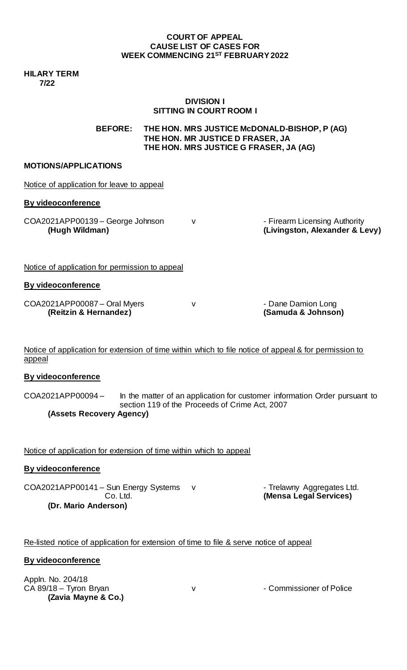## **COURT OF APPEAL CAUSE LIST OF CASES FOR WEEK COMMENCING 21ST FEBRUARY2022**

**HILARY TERM 7/22**

## **DIVISION I SITTING IN COURT ROOM I**

**BEFORE: THE HON. MRS JUSTICE McDONALD-BISHOP, P (AG) THE HON. MR JUSTICE D FRASER, JA THE HON. MRS JUSTICE G FRASER, JA (AG)**

## **MOTIONS/APPLICATIONS**

| Notice of application for leave to appeal             |   |                                                                 |
|-------------------------------------------------------|---|-----------------------------------------------------------------|
| By videoconference                                    |   |                                                                 |
| COA2021APP00139 - George Johnson<br>(Hugh Wildman)    | v | - Firearm Licensing Authority<br>(Livingston, Alexander & Levy) |
| Notice of application for permission to appeal        |   |                                                                 |
| By videoconference                                    |   |                                                                 |
| COA2021APP00087 - Oral Myers<br>(Reitzin & Hernandez) | v | - Dane Damion Long<br>(Samuda & Johnson)                        |

Notice of application for extension of time within which to file notice of appeal & for permission to appeal

# **By videoconference**

COA2021APP00094 – In the matter of an application for customer information Order pursuant to section 119 of the Proceeds of Crime Act, 2007 **(Assets Recovery Agency)**

Notice of application for extension of time within which to appeal

# **By videoconference**

COA2021APP00141 – Sun Energy Systems v - Trelawny Aggregates Ltd.<br>Co. Ltd. (Mensa Legal Services) **(Dr. Mario Anderson)**

**(Mensa Legal Services)** 

Re-listed notice of application for extension of time to file & serve notice of appeal

# **By videoconference**

Appln. No. 204/18 CA 89/18 – Tyron Bryan v V v - Commissioner of Police **(Zavia Mayne & Co.)**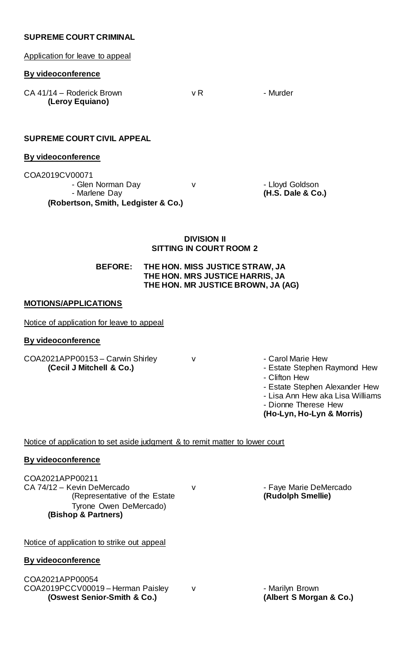## **SUPREME COURT CRIMINAL**

Application for leave to appeal

#### **By videoconference**

CA 41/14 – Roderick Brown v R v R - Murder **(Leroy Equiano)** 

## **SUPREME COURT CIVIL APPEAL**

## **By videoconference**

| - Glen Norman Day<br>- Marlene Day  | - Lloyd Goldson<br>(H.S. Dale & Co.) |
|-------------------------------------|--------------------------------------|
| (Robertson, Smith, Ledgister & Co.) |                                      |

## **DIVISION II SITTING IN COURT ROOM 2**

**BEFORE: THE HON. MISS JUSTICE STRAW, JA THE HON. MRS JUSTICE HARRIS, JA THE HON. MR JUSTICE BROWN, JA (AG)**

## **MOTIONS/APPLICATIONS**

Notice of application for leave to appeal

## **By videoconference**

COA2021APP00153 – Carwin Shirley v v carol Marie Hew **(Cecil J Mitchell & Co.)** Co. **1999** - Estate Stephen Raymond Hew

- 
- 
- Clifton Hew
- Estate Stephen Alexander Hew
- Lisa Ann Hew aka Lisa Williams
- Dionne Therese Hew

**(Ho-Lyn, Ho-Lyn & Morris)**

Notice of application to set aside judgment & to remit matter to lower court

## **By videoconference**

COA2021APP00211 CA 74/12 – Kevin DeMercado v de v de capacidative of the Estate v capacity of the Estate v capacity (Rudolph Smellie) (Representative of the Estate Tyrone Owen DeMercado) **(Bishop & Partners)**

Notice of application to strike out appeal

# **By videoconference**

COA2021APP00054 COA2019PCCV00019 – Herman Paisley v (OSwest Senior-Smith & Co.)<br>
(Oswest Senior-Smith & Co.) (Albert S Morgan & Co.) **(Oswest Senior-Smith & Co.)**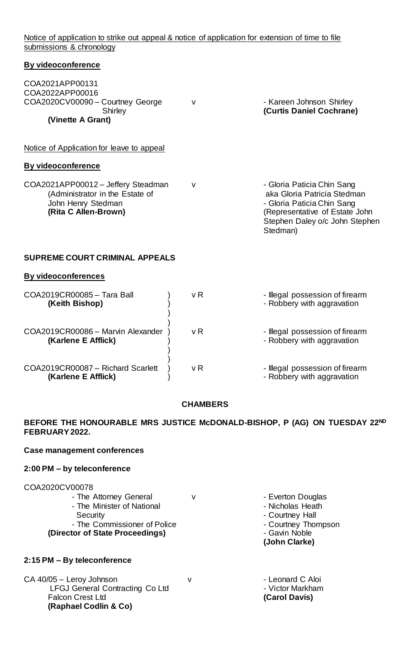Notice of application to strike out appeal & notice of application for extension of time to file submissions & chronology

# **By videoconference** COA2021APP00131 COA2022APP00016 COA2020CV00090 – Courtney George v - Kareen Johnson Shirley Shirley **(Curtis Daniel Cochrane) (Vinette A Grant)**  Notice of Application for leave to appeal **By videoconference** COA2021APP00012 – Jeffery Steadman v<br>
(Administrator in the Estate of aka Gloria Patricia Stedman) (Administrator in the Estate of John Henry Stedman **- Gloria Paticia Chin Sang (Rita C**hin Sang (Rita Callen-Brown) (Representative of Estate John Stephen Daley o/c John Stephen Stedman)

## **SUPREME COURT CRIMINAL APPEALS**

## **By videoconferences**

| COA2019CR00085 - Tara Ball<br>(Keith Bishop)             | v R | - Illegal possession of firearm<br>- Robbery with aggravation |
|----------------------------------------------------------|-----|---------------------------------------------------------------|
| COA2019CR00086 - Marvin Alexander<br>(Karlene E Afflick) | v R | - Illegal possession of firearm<br>- Robbery with aggravation |
| COA2019CR00087 - Richard Scarlett<br>(Karlene E Afflick) | v R | - Illegal possession of firearm<br>- Robbery with aggravation |

## **CHAMBERS**

# **BEFORE THE HONOURABLE MRS JUSTICE McDONALD-BISHOP, P (AG) ON TUESDAY 22ND FEBRUARY2022.**

## **Case management conferences**

## **2:00 PM – by teleconference**

## COA2020CV00078

|                                 |  | (John Clarke)  |
|---------------------------------|--|----------------|
| (Director of State Proceedings) |  | - Gavin Noble  |
| - The Commissioner of Police    |  | - Courtney Tho |
| Security                        |  | - Courtney Ha  |
| - The Minister of National      |  | - Nicholas Hea |
| - The Attorney General          |  | - Everton Doug |

## **2:15 PM – By teleconference**

CA 40/05 – Leroy Johnson v v - Leonard C Aloi LFGJ General Contracting Co Ltd - Victor Markham Falcon Crest Ltd **(Carol Davis) (Raphael Codlin & Co)**

- Everton Douglas
- Nicholas Heath
- Courtney Hall
- Courtney Thompson
- 
- **(John Clarke)**